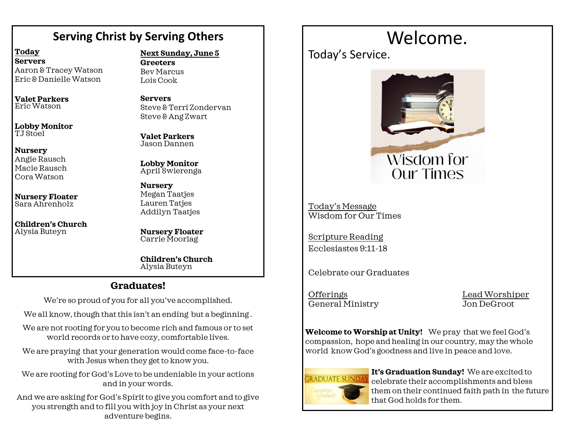# **Serving Christ by Serving Others**

**Today Servers** Aaron & Tracey Watson Eric & Danielle Watson

**Valet Parkers** Eric Watson

**Lobby Monitor** TJ Stoel

#### **Nursery**

Angie Rausch Macie Rausch Cora Watson

**Nursery Floater** Sara Ahrenholz

**Children's Church**  Alysia Buteyn

# **Next Sunday, June 5**

**Greeters** Bev Marcus Lois Cook

**Servers** Steve & Terri Zondervan Steve & Ang Zwart

**Valet Parkers** Jason Dannen

**Lobby Monitor** April Swierenga

**Nursery** Megan Taatjes Lauren Taties Addilyn Taatjes

**Nursery Floater** Carrie Moorlag

**Children's Church**  Alysia Buteyn

# **Graduates!**

We're so proud of you for all you've accomplished.

We all know, though that this isn't an ending but a beginning.

We are not rooting for you to become rich and famous or to set world records or to have cozy, comfortable lives.

We are praying that your generation would come face-to-face with Jesus when they get to know you.

We are rooting for God's Love to be undeniable in your actions and in your words.

And we are asking for God's Spirit to give you comfort and to give you strength and to fill you with joy in Christ as your next adventure begins.

# Welcome.

Today's Service.



Today's Message Wisdom for Our Times

Scripture Reading Ecclesiastes 9:11-18

Celebrate our Graduates

OfferingsLead Worshiper General Ministry Jon DeGroot

**Welcome to Worship at Unity!** We pray that we feel God's compassion, hope and healing in our country, may the whole world know God's goodness and live in peace and love.



**It's Graduation Sunday!** We are excited to celebrate their accomplishments and bless them on their continued faith path in the future that God holds for them.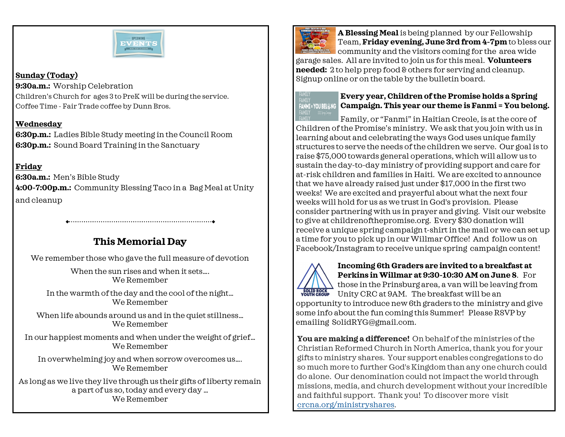

### **Sunday (Today)**

**9:30a.m.:** Worship Celebration Children's Church for ages 3 to PreK will be during the service. Coffee Time - Fair Trade coffee by Dunn Bros.

# **Wednesday**

**6:30p.m.:** Ladies Bible Study meeting in the Council Room **6:30p.m.:** Sound Board Training in the Sanctuary

# **Friday**

**6:30a.m.:** Men's Bible Study **4:00-7:00p.m.:** Community Blessing Taco in a Bag Meal at Unity and cleanup

# **This Memorial Day**

We remember those who gave the full measure of devotion

When the sun rises and when it sets.... We Remember

In the warmth of the day and the cool of the night… We Remember

When life abounds around us and in the quiet stillness... We Remember

In our happiest moments and when under the weight of grief… We Remember

In overwhelming joy and when sorrow overcomes us…. We Remember

As long as we live they live through us their gifts of liberty remain a part of us so, today and every day … We Remember



**A Blessing Meal** is being planned by our Fellowship Team, **Friday evening, June 3rd from 4-7pm** to bless our **COMMUNITY AND SERVE ASSESS community and the visitors coming for the area wide** 

garage sales. All are invited to join us for this meal. **Volunteers needed:** 2 to help prep food & others for serving and cleanup. Signup online or on the table by the bulletin board.



### **Every year, Children of the Promise holds a Spring Campaign. This year our theme is Fanmi = You belong.**

Family, or "Fanmi" in Haitian Creole, is at the core of Children of the Promise's ministry. We ask that you join with us in learning about and celebrating the ways God uses unique family structures to serve the needs of the children we serve. Our goal is to raise \$75,000 towards general operations, which will allow us to sustain the day-to-day ministry of providing support and care for at-risk children and families in Haiti. We are excited to announce that we have already raised just under \$17,000 in the first two weeks! We are excited and prayerful about what the next four weeks will hold for us as we trust in God's provision. Please consider partnering with us in prayer and giving. Visit our website to give at childrenofthepromise.org. Every \$30 donation will receive a unique spring campaign t-shirt in the mail or we can set up a time for you to pick up in our Willmar Office! And follow us on Facebook/Instagram to receive unique spring campaign content!



# **Incoming 6th Graders are invited to a breakfast at Perkins in Willmar at 9:30-10:30 AM on June 8**. For those in the Prinsburg area, a van will be leaving from  $\frac{1}{\sqrt{2}}$   $\frac{1}{\sqrt{2}}$   $\frac{1}{\sqrt{2}}$   $\frac{1}{\sqrt{2}}$   $\frac{1}{\sqrt{2}}$   $\frac{1}{\sqrt{2}}$   $\frac{1}{\sqrt{2}}$   $\frac{1}{\sqrt{2}}$   $\frac{1}{\sqrt{2}}$   $\frac{1}{\sqrt{2}}$   $\frac{1}{\sqrt{2}}$   $\frac{1}{\sqrt{2}}$   $\frac{1}{\sqrt{2}}$   $\frac{1}{\sqrt{2}}$   $\frac{1}{\sqrt{2}}$   $\frac{1}{\sqrt{2}}$   $\frac{1}{\sqrt{2}}$

opportunity to introduce new 6th graders to the ministry and give some info about the fun coming this Summer! Please RSVP by emailing SolidRYG@gmail.com.

**You are making a difference!** On behalf of the ministries of the Christian Reformed Church in North America, thank you for your gifts to ministry shares. Your support enables congregations to do so much more to further God's Kingdom than any one church could do alone. Our denomination could not impact the world through missions, media, and church development without your incredible and faithful support. Thank you! To discover more visit [crcna.org/ministryshares.](https://www.crcna.org/MinistryShares)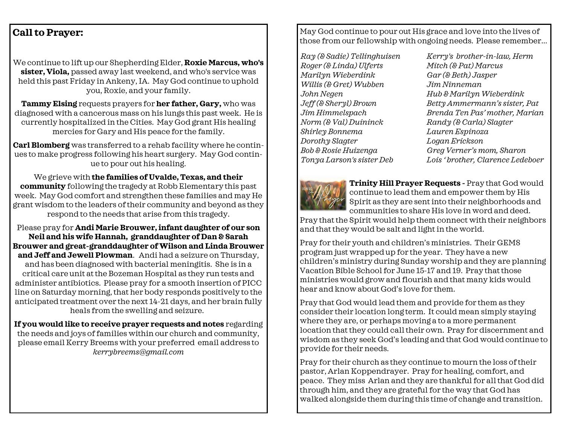# **Call to Prayer:**

We continue to lift up our Shepherding Elder, **Roxie Marcus, who's sister, Viola,** passed away last weekend, and who's service was held this past Friday in Ankeny, IA. May God continue to uphold you, Roxie, and your family.

**Tammy Elsing** requests prayers for **her father, Gary,** who was diagnosed with a cancerous mass on his lungs this past week. He is currently hospitalized in the Cities. May God grant His healing mercies for Gary and His peace for the family.

**Carl Blomberg** was transferred to a rehab facility where he continues to make progress following his heart surgery. May God continue to pour out his healing.

We grieve with **the families of Uvalde, Texas, and their community** following the tragedy at Robb Elementary this past week. May God comfort and strengthen these families and may He grant wisdom to the leaders of their community and beyond as they respond to the needs that arise from this tragedy.

Please pray for **Andi Marie Brouwer, infant daughter of our son Neil and his wife Hannah, granddaughter of Dan & Sarah Brouwer and great-granddaughter of Wilson and Linda Brouwer and Jeff and Jewell Plowman**. Andi had a seizure on Thursday, and has been diagnosed with bacterial meningitis. She is in a critical care unit at the Bozeman Hospital as they run tests and administer antibiotics. Please pray for a smooth insertion of PICC line on Saturday morning, that her body responds positively to the anticipated treatment over the next 14-21 days, and her brain fully heals from the swelling and seizure.

**If you would like to receive prayer requests and notes** regarding the needs and joys of families within our church and community, please email Kerry Breems with your preferred email address to *kerrybreems@gmail.com*

May God continue to pour out His grace and love into the lives of those from our fellowship with ongoing needs. Please remember...

*Ray (& Sadie) Tellinghuisen Roger (& Linda) Ulferts Marilyn Wieberdink Willis (& Gret) Wubben John Negen Jeff (& Sheryl) Brown Jim Himmelspach Norm (& Val) Duininck Shirley Bonnema Dorothy Slagter Bob & Rosie Huizenga Tonya Larson's sister Deb* 

*Kerry's brother-in-law, Herm Mitch (& Pat) Marcus Gar (& Beth) Jasper Jim Ninneman Hub & Marilyn Wieberdink Betty Ammermann's sister, Pat Brenda Ten Pas' mother, Marian Randy (& Carla) Slagter Lauren Espinoza Logan Erickson Greg Verner's mom, Sharon Lois ' brother, Clarence Ledeboer*



**Trinity Hill Prayer Requests -** Pray that God would continue to lead them and empower them by His Spirit as they are sent into their neighborhoods and communities to share His love in word and deed.

Pray that the Spirit would help them connect with their neighbors and that they would be salt and light in the world.

Pray for their youth and children's ministries. Their GEMS program just wrapped up for the year. They have a new children's ministry during Sunday worship and they are planning Vacation Bible School for June 15-17 and 19. Pray that those ministries would grow and flourish and that many kids would hear and know about God's love for them.

Pray that God would lead them and provide for them as they consider their location long term. It could mean simply staying where they are, or perhaps moving a to a more permanent location that they could call their own. Pray for discernment and wisdom as they seek God's leading and that God would continue to provide for their needs.

Pray for their church as they continue to mourn the loss of their pastor, Arlan Koppendrayer. Pray for healing, comfort, and peace. They miss Arlan and they are thankful for all that God did through him, and they are grateful for the way that God has walked alongside them during this time of change and transition.